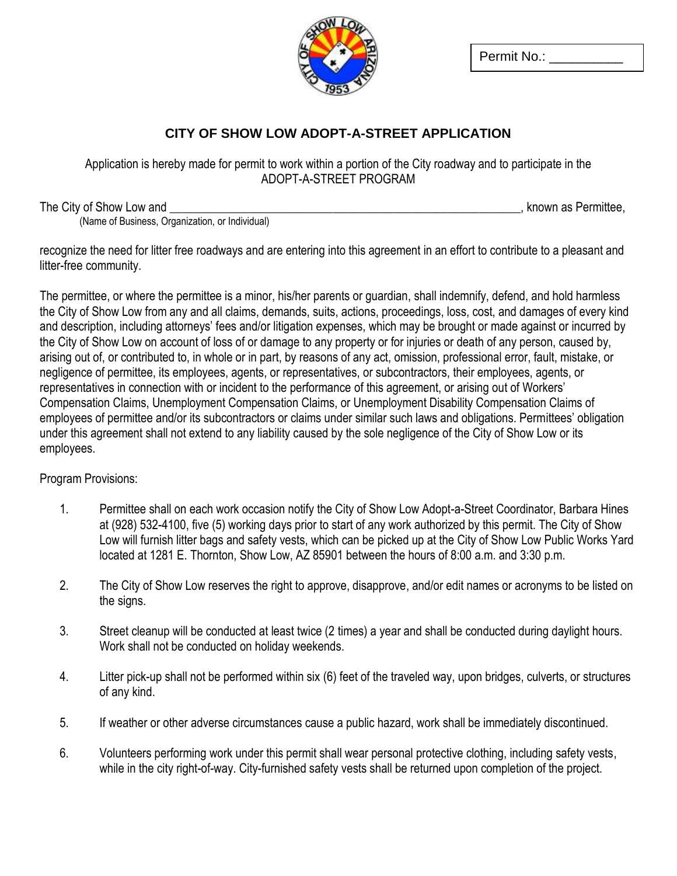

Permit No.:

## **CITY OF SHOW LOW ADOPT-A-STREET APPLICATION**

Application is hereby made for permit to work within a portion of the City roadway and to participate in the ADOPT-A-STREET PROGRAM

The City of Show Low and **Example 20** and  $\overline{a}$  is a set of the City of Shown as Permittee, (Name of Business, Organization, or Individual)

recognize the need for litter free roadways and are entering into this agreement in an effort to contribute to a pleasant and litter-free community.

The permittee, or where the permittee is a minor, his/her parents or guardian, shall indemnify, defend, and hold harmless the City of Show Low from any and all claims, demands, suits, actions, proceedings, loss, cost, and damages of every kind and description, including attorneys' fees and/or litigation expenses, which may be brought or made against or incurred by the City of Show Low on account of loss of or damage to any property or for injuries or death of any person, caused by, arising out of, or contributed to, in whole or in part, by reasons of any act, omission, professional error, fault, mistake, or negligence of permittee, its employees, agents, or representatives, or subcontractors, their employees, agents, or representatives in connection with or incident to the performance of this agreement, or arising out of Workers' Compensation Claims, Unemployment Compensation Claims, or Unemployment Disability Compensation Claims of employees of permittee and/or its subcontractors or claims under similar such laws and obligations. Permittees' obligation under this agreement shall not extend to any liability caused by the sole negligence of the City of Show Low or its employees.

Program Provisions:

- 1. Permittee shall on each work occasion notify the City of Show Low Adopt-a-Street Coordinator, Barbara Hines at (928) 532-4100, five (5) working days prior to start of any work authorized by this permit. The City of Show Low will furnish litter bags and safety vests, which can be picked up at the City of Show Low Public Works Yard located at 1281 E. Thornton, Show Low, AZ 85901 between the hours of 8:00 a.m. and 3:30 p.m.
- 2. The City of Show Low reserves the right to approve, disapprove, and/or edit names or acronyms to be listed on the signs.
- 3. Street cleanup will be conducted at least twice (2 times) a year and shall be conducted during daylight hours. Work shall not be conducted on holiday weekends.
- 4. Litter pick-up shall not be performed within six (6) feet of the traveled way, upon bridges, culverts, or structures of any kind.
- 5. If weather or other adverse circumstances cause a public hazard, work shall be immediately discontinued.
- 6. Volunteers performing work under this permit shall wear personal protective clothing, including safety vests, while in the city right-of-way. City-furnished safety vests shall be returned upon completion of the project.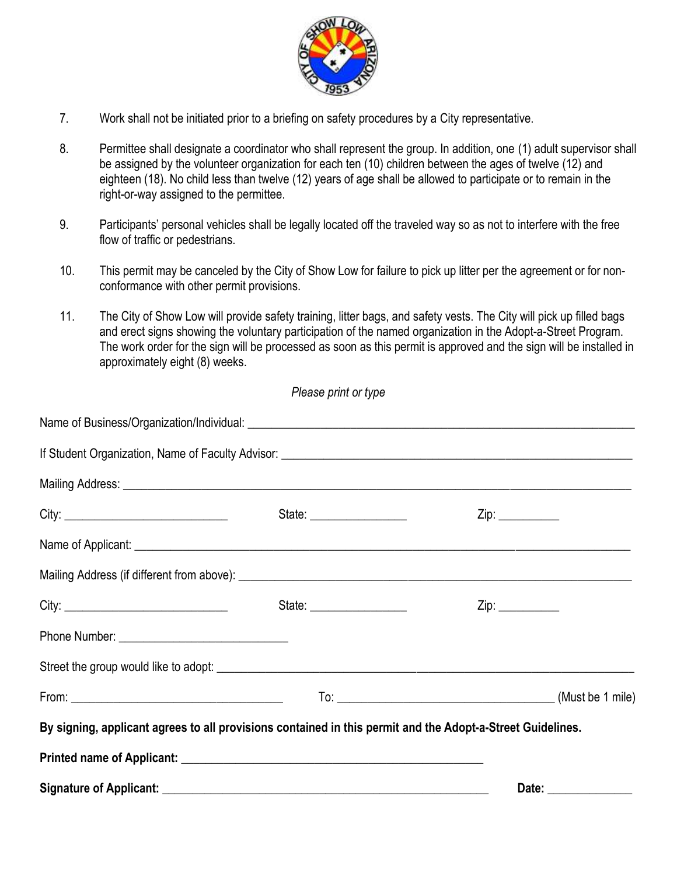

- 7. Work shall not be initiated prior to a briefing on safety procedures by a City representative.
- 8. Permittee shall designate a coordinator who shall represent the group. In addition, one (1) adult supervisor shall be assigned by the volunteer organization for each ten (10) children between the ages of twelve (12) and eighteen (18). No child less than twelve (12) years of age shall be allowed to participate or to remain in the right-or-way assigned to the permittee.
- 9. Participants' personal vehicles shall be legally located off the traveled way so as not to interfere with the free flow of traffic or pedestrians.
- 10. This permit may be canceled by the City of Show Low for failure to pick up litter per the agreement or for nonconformance with other permit provisions.
- 11. The City of Show Low will provide safety training, litter bags, and safety vests. The City will pick up filled bags and erect signs showing the voluntary participation of the named organization in the Adopt-a-Street Program. The work order for the sign will be processed as soon as this permit is approved and the sign will be installed in approximately eight (8) weeks.

*Please print or type*

| By signing, applicant agrees to all provisions contained in this permit and the Adopt-a-Street Guidelines. |                       |
|------------------------------------------------------------------------------------------------------------|-----------------------|
|                                                                                                            |                       |
|                                                                                                            | Date: _______________ |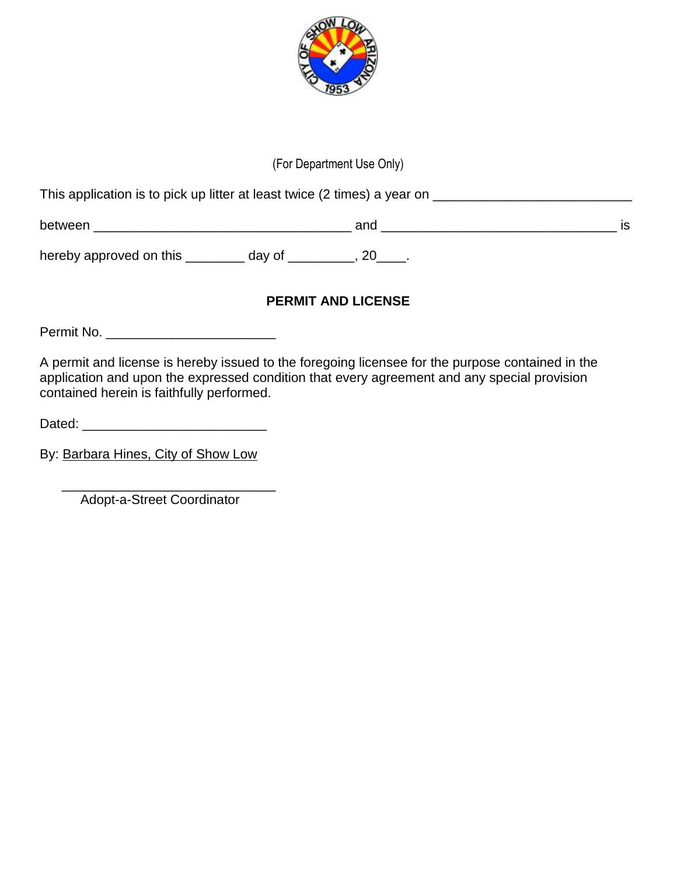

# (For Department Use Only)

This application is to pick up litter at least twice (2 times) a year on \_\_\_\_\_\_\_\_\_\_\_\_\_\_\_\_\_\_\_\_\_\_\_\_\_\_\_

between \_\_\_\_\_\_\_\_\_\_\_\_\_\_\_\_\_\_\_\_\_\_\_\_\_\_\_\_\_\_\_\_\_\_\_ and \_\_\_\_\_\_\_\_\_\_\_\_\_\_\_\_\_\_\_\_\_\_\_\_\_\_\_\_\_\_\_\_ is

hereby approved on this \_\_\_\_\_\_\_\_\_ day of \_\_\_\_\_\_\_\_, 20\_\_\_\_.

### **PERMIT AND LICENSE**

Permit No. \_\_\_\_\_\_\_\_\_\_\_\_\_\_\_\_\_\_\_\_\_\_\_

A permit and license is hereby issued to the foregoing licensee for the purpose contained in the application and upon the expressed condition that every agreement and any special provision contained herein is faithfully performed.

Dated: \_\_\_\_\_\_\_\_\_\_\_\_\_\_\_\_\_\_\_\_\_\_\_\_\_

By: Barbara Hines, City of Show Low

 $\frac{1}{\sqrt{2}}$  ,  $\frac{1}{\sqrt{2}}$  ,  $\frac{1}{\sqrt{2}}$  ,  $\frac{1}{\sqrt{2}}$  ,  $\frac{1}{\sqrt{2}}$  ,  $\frac{1}{\sqrt{2}}$  ,  $\frac{1}{\sqrt{2}}$  ,  $\frac{1}{\sqrt{2}}$  ,  $\frac{1}{\sqrt{2}}$  ,  $\frac{1}{\sqrt{2}}$  ,  $\frac{1}{\sqrt{2}}$  ,  $\frac{1}{\sqrt{2}}$  ,  $\frac{1}{\sqrt{2}}$  ,  $\frac{1}{\sqrt{2}}$  ,  $\frac{1}{\sqrt{2}}$ Adopt-a-Street Coordinator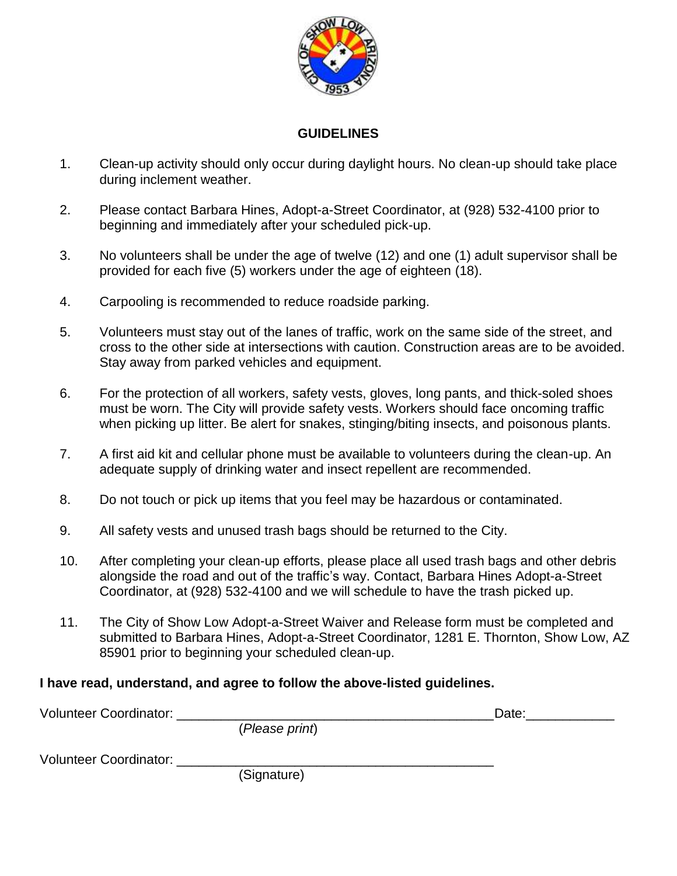

#### **GUIDELINES**

- 1. Clean-up activity should only occur during daylight hours. No clean-up should take place during inclement weather.
- 2. Please contact Barbara Hines, Adopt-a-Street Coordinator, at (928) 532-4100 prior to beginning and immediately after your scheduled pick-up.
- 3. No volunteers shall be under the age of twelve (12) and one (1) adult supervisor shall be provided for each five (5) workers under the age of eighteen (18).
- 4. Carpooling is recommended to reduce roadside parking.
- 5. Volunteers must stay out of the lanes of traffic, work on the same side of the street, and cross to the other side at intersections with caution. Construction areas are to be avoided. Stay away from parked vehicles and equipment.
- 6. For the protection of all workers, safety vests, gloves, long pants, and thick-soled shoes must be worn. The City will provide safety vests. Workers should face oncoming traffic when picking up litter. Be alert for snakes, stinging/biting insects, and poisonous plants.
- 7. A first aid kit and cellular phone must be available to volunteers during the clean-up. An adequate supply of drinking water and insect repellent are recommended.
- 8. Do not touch or pick up items that you feel may be hazardous or contaminated.
- 9. All safety vests and unused trash bags should be returned to the City.
- 10. After completing your clean-up efforts, please place all used trash bags and other debris alongside the road and out of the traffic's way. Contact, Barbara Hines Adopt-a-Street Coordinator, at (928) 532-4100 and we will schedule to have the trash picked up.
- 11. The City of Show Low Adopt-a-Street Waiver and Release form must be completed and submitted to Barbara Hines, Adopt-a-Street Coordinator, 1281 E. Thornton, Show Low, AZ 85901 prior to beginning your scheduled clean-up.

### **I have read, understand, and agree to follow the above-listed guidelines.**

| <b>Volunteer Coordinator:</b> |                | Date: |
|-------------------------------|----------------|-------|
|                               | (Please print) |       |
| <b>Volunteer Coordinator:</b> |                |       |
|                               | (Signature)    |       |
|                               |                |       |